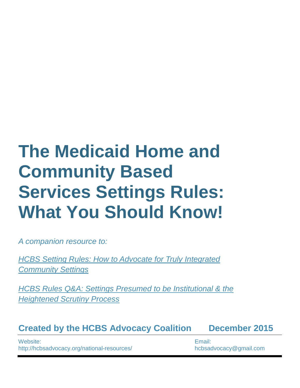# **The Medicaid Home and Community Based Services Settings Rules: What You Should Know!**

*A companion resource to:*

*[HCBS Setting Rules: How to Advocate for Truly Integrated](http://www.aucd.org/docs/policy/HCBS/HCBS%20Setting%20Rules%20Settings%20Advocacy%20Final%201%2022%202016.pdf)  [Community Settings](http://www.aucd.org/docs/policy/HCBS/HCBS%20Setting%20Rules%20Settings%20Advocacy%20Final%201%2022%202016.pdf)*

*HCBS Rules [Q&A: Settings Presumed to be Institutional & the](http://www.aucd.org/docs/policy/HCBS/HCBS%20Regulations%20Q&A%20Heightened%20Scrutiny%20Final%201%2022%202016.pdf)  [Heightened Scrutiny Process](http://www.aucd.org/docs/policy/HCBS/HCBS%20Regulations%20Q&A%20Heightened%20Scrutiny%20Final%201%2022%202016.pdf)*

**Created by the HCBS Advocacy Coalition December 2015**

Website: http://hcbsadvocacy.org/national-resources/ Email: hcbsadvocacy@gmail.com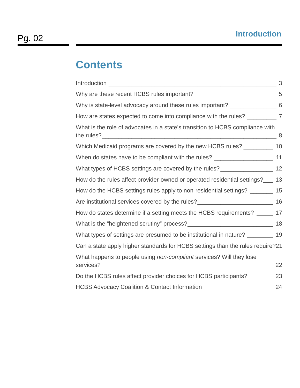# **Contents**

|                                                                                      | 3 |
|--------------------------------------------------------------------------------------|---|
|                                                                                      |   |
| Why is state-level advocacy around these rules important? __________________ 6       |   |
| How are states expected to come into compliance with the rules? ______________ 7     |   |
| What is the role of advocates in a state's transition to HCBS compliance with        |   |
| Which Medicaid programs are covered by the new HCBS rules? __________ 10             |   |
| When do states have to be compliant with the rules? _____________________________ 11 |   |
| What types of HCBS settings are covered by the rules? _________________________ 12   |   |
| How do the rules affect provider-owned or operated residential settings?___ 13       |   |
| How do the HCBS settings rules apply to non-residential settings? ________ 15        |   |
| Are institutional services covered by the rules?<br><u> 16</u> 16                    |   |
| How do states determine if a setting meets the HCBS requirements? ______ 17          |   |
|                                                                                      |   |
| What types of settings are presumed to be institutional in nature? _________ 19      |   |
| Can a state apply higher standards for HCBS settings than the rules require?21       |   |
| What happens to people using non-compliant services? Will they lose                  |   |
| Do the HCBS rules affect provider choices for HCBS participants? __________ 23       |   |
| HCBS Advocacy Coalition & Contact Information ________________________________ 24    |   |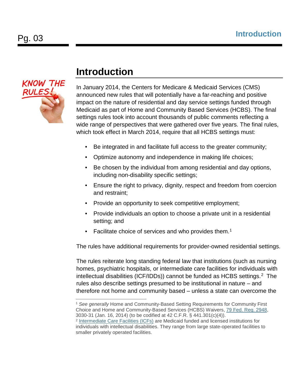

#### <span id="page-2-0"></span>**Introduction**

In January 2014, the Centers for Medicare & Medicaid Services (CMS) announced new rules that will potentially have a far-reaching and positive impact on the nature of residential and day service settings funded through Medicaid as part of Home and Community Based Services (HCBS). The final settings rules took into account thousands of public comments reflecting a wide range of perspectives that were gathered over five years. The final rules, which took effect in March 2014, require that all HCBS settings must:

- Be integrated in and facilitate full access to the greater community;
- Optimize autonomy and independence in making life choices;
- Be chosen by the individual from among residential and day options, including non-disability specific settings;
- Ensure the right to privacy, dignity, respect and freedom from coercion and restraint;
- Provide an opportunity to seek competitive employment;
- Provide individuals an option to choose a private unit in a residential setting; and
- Facilitate choice of services and who provides them.<sup>[1](#page-2-1)</sup>

The rules have additional requirements for provider-owned residential settings.

The rules reiterate long standing federal law that institutions (such as nursing homes, psychiatric hospitals, or intermediate care facilities for individuals with intellectual disabilities (ICF/IDDs)) cannot be funded as HCBS settings. $2$  The rules also describe settings presumed to be institutional in nature – and therefore not home and community based – unless a state can overcome the

<span id="page-2-1"></span><sup>1</sup> *See generally* Home and Community-Based Setting Requirements for Community First Choice and Home and Community-Based Services (HCBS) Waivers, [79 Fed. Reg. 2948,](https://www.federalregister.gov/articles/2014/01/16/2014-00487/medicaid-program-state-plan-home-and-community-based-services-5-year-period-for-waivers-provider) 3030-31 (Jan. 16, 2014) (to be codified at 42 C.F.R. § 441.301(c)(4)). -

<span id="page-2-2"></span><sup>2</sup> [Intermediate Care Facilities \(ICFs\)](http://www.cms.gov/Medicare/Provider-Enrollment-and-Certification/CertificationandComplianc/Downloads/ICFMR_Background.pdf) are Medicaid funded and licensed institutions for individuals with intellectual disabilities. They range from large state-operated facilities to smaller privately operated facilities.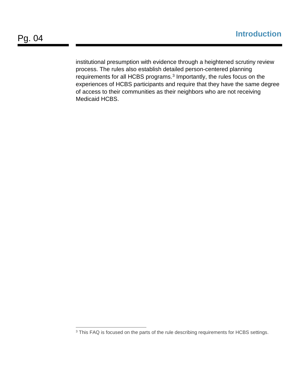institutional presumption with evidence through a heightened scrutiny review process. The rules also establish detailed person-centered planning requirements for all HCBS programs.[3](#page-3-0) Importantly, the rules focus on the experiences of HCBS participants and require that they have the same degree of access to their communities as their neighbors who are not receiving Medicaid HCBS.

<span id="page-3-0"></span> $3$  This FAQ is focused on the parts of the rule describing requirements for HCBS settings. -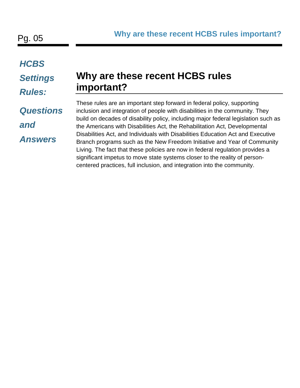#### *HCBS*

#### *Settings*

#### *Rules:*

# *Questions*

#### *and*

*Answers*

#### <span id="page-4-0"></span>**Why are these recent HCBS rules important?**

These rules are an important step forward in federal policy, supporting inclusion and integration of people with disabilities in the community. They build on decades of disability policy, including major federal legislation such as the Americans with Disabilities Act, the Rehabilitation Act, Developmental Disabilities Act, and Individuals with Disabilities Education Act and Executive Branch programs such as the New Freedom Initiative and Year of Community Living. The fact that these policies are now in federal regulation provides a significant impetus to move state systems closer to the reality of personcentered practices, full inclusion, and integration into the community.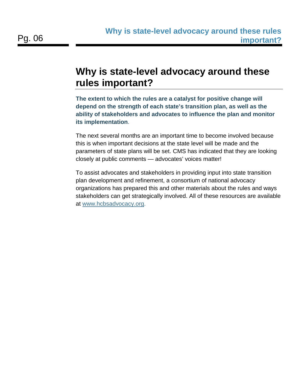#### <span id="page-5-0"></span>**Why is state-level advocacy around these rules important?**

**The extent to which the rules are a catalyst for positive change will depend on the strength of each state's transition plan, as well as the ability of stakeholders and advocates to influence the plan and monitor its implementation**.

The next several months are an important time to become involved because this is when important decisions at the state level will be made and the parameters of state plans will be set. CMS has indicated that they are looking closely at public comments — advocates' voices matter!

To assist advocates and stakeholders in providing input into state transition plan development and refinement, a consortium of national advocacy organizations has prepared this and other materials about the rules and ways stakeholders can get strategically involved. All of these resources are available at [www.hcbsadvocacy.org.](http://www.hcbsadvocacy.org/)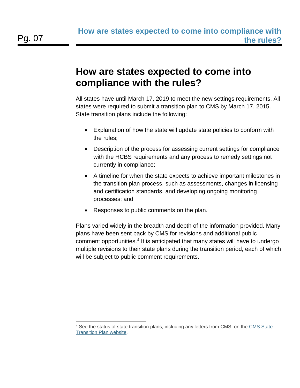#### <span id="page-6-0"></span>**How are states expected to come into compliance with the rules?**

All states have until March 17, 2019 to meet the new settings requirements. All states were required to submit a transition plan to CMS by March 17, 2015. State transition plans include the following:

- Explanation of how the state will update state policies to conform with the rules;
- Description of the process for assessing current settings for compliance with the HCBS requirements and any process to remedy settings not currently in compliance;
- A timeline for when the state expects to achieve important milestones in the transition plan process, such as assessments, changes in licensing and certification standards, and developing ongoing monitoring processes; and
- Responses to public comments on the plan.

Plans varied widely in the breadth and depth of the information provided. Many plans have been sent back by CMS for revisions and additional public comment opportunities.[4](#page-6-1) It is anticipated that many states will have to undergo multiple revisions to their state plans during the transition period, each of which will be subject to public comment requirements.

<span id="page-6-1"></span><sup>4</sup> See the status of state transition plans, including any letters from CMS, on the [CMS State](http://www.medicaid.gov/medicaid-chip-program-information/by-topics/long-term-services-and-supports/home-and-community-based-services/statewide-transition-plans.html)  [Transition Plan website.](http://www.medicaid.gov/medicaid-chip-program-information/by-topics/long-term-services-and-supports/home-and-community-based-services/statewide-transition-plans.html) -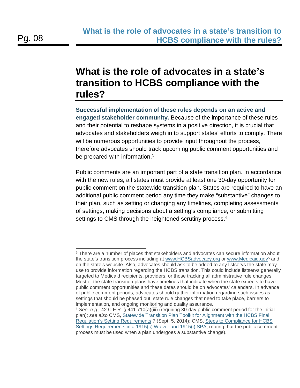-

#### <span id="page-7-0"></span>**What is the role of advocates in a state's transition to HCBS compliance with the rules?**

**Successful implementation of these rules depends on an active and engaged stakeholder community.** Because of the importance of these rules and their potential to reshape systems in a positive direction, it is crucial that advocates and stakeholders weigh in to support states' efforts to comply. There will be numerous opportunities to provide input throughout the process, therefore advocates should track upcoming public comment opportunities and be prepared with information.<sup>[5](#page-7-1)</sup>

Public comments are an important part of a state transition plan. In accordance with the new rules, all states must provide at least one 30-day opportunity for public comment on the statewide transition plan. States are required to have an additional public comment period any time they make "substantive" changes to their plan, such as setting or changing any timelines, completing assessments of settings, making decisions about a setting's compliance, or submitting settings to CMS through the heightened scrutiny process.<sup>[6](#page-7-2)</sup>

<span id="page-7-1"></span><sup>5</sup> There are a number of places that stakeholders and advocates can secure information about the state's transition process including at [www.HCBSadvocacy.org](http://www.hcbsadvocacy.org/) or www.Medicaid.gov<sup>5</sup> and on the state's website. Also, advocates should ask to be added to any listservs the state may use to provide information regarding the HCBS transition. This could include listservs generally targeted to Medicaid recipients, providers, or those tracking all administrative rule changes. Most of the state transition plans have timelines that indicate when the state expects to have public comment opportunities and these dates should be on advocates' calendars. In advance of public comment periods, advocates should gather information regarding such issues as settings that should be phased out, state rule changes that need to take place, barriers to implementation, and ongoing monitoring and quality assurance.

<span id="page-7-2"></span><sup>6</sup> *See, e.g.,* 42 C.F.R. § 441.710(a)(iii) (requiring 30-day public comment period for the initial plan); *see also* CMS, [Statewide Transition Plan Toolkit for Alignment with the HCBS Final](http://www.medicaid.gov/medicaid-chip-program-information/by-topics/long-term-services-and-supports/statewide-transition-plan-toolkit.pdf)  [Regulation's Setting Requirements](http://www.medicaid.gov/medicaid-chip-program-information/by-topics/long-term-services-and-supports/statewide-transition-plan-toolkit.pdf) 7 (Sept. 5, 2014); CMS, [Steps to Compliance for HCBS](http://www.medicaid.gov/medicaid-chip-program-information/by-topics/long-term-services-and-supports/home-and-community-based-services/downloads/hcbs-1915c-waiver-compliance-flowchart.pdf)  [Settings Requirements in a 1915\(c\) Waiver and 1915\(i\) SPA,](http://www.medicaid.gov/medicaid-chip-program-information/by-topics/long-term-services-and-supports/home-and-community-based-services/downloads/hcbs-1915c-waiver-compliance-flowchart.pdf) (noting that the public comment process must be used when a plan undergoes a substantive change).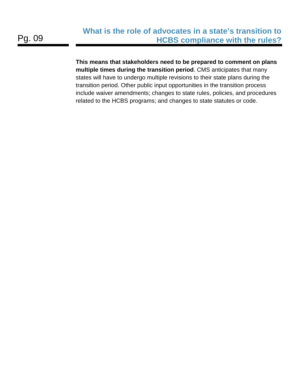**This means that stakeholders need to be prepared to comment on plans multiple times during the transition period**. CMS anticipates that many states will have to undergo multiple revisions to their state plans during the transition period. Other public input opportunities in the transition process include waiver amendments; changes to state rules, policies, and procedures related to the HCBS programs; and changes to state statutes or code.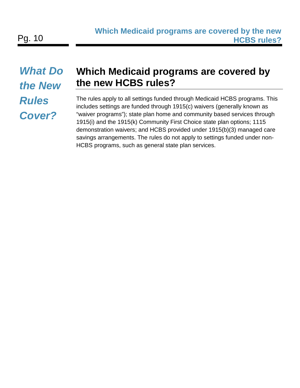# *What Do the New Rules Cover?*

# <span id="page-9-0"></span>**Which Medicaid programs are covered by the new HCBS rules?**

The rules apply to all settings funded through Medicaid HCBS programs. This includes settings are funded through 1915(c) waivers (generally known as "waiver programs"); state plan home and community based services through 1915(i) and the 1915(k) Community First Choice state plan options; 1115 demonstration waivers; and HCBS provided under 1915(b)(3) managed care savings arrangements. The rules do not apply to settings funded under non-HCBS programs, such as general state plan services.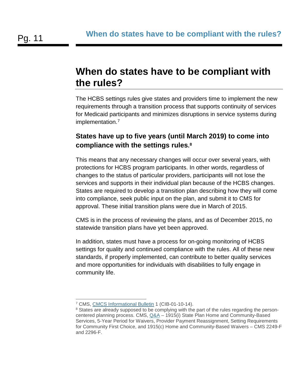#### <span id="page-10-0"></span>**When do states have to be compliant with the rules?**

The HCBS settings rules give states and providers time to implement the new requirements through a transition process that supports continuity of services for Medicaid participants and minimizes disruptions in service systems during implementation.<sup>[7](#page-10-1)</sup>

#### **States have up to five years (until March 2019) to come into compliance with the settings rules. [8](#page-10-2)**

This means that any necessary changes will occur over several years, with protections for HCBS program participants. In other words, regardless of changes to the status of particular providers, participants will not lose the services and supports in their individual plan because of the HCBS changes. States are required to develop a transition plan describing how they will come into compliance, seek public input on the plan, and submit it to CMS for approval. These initial transition plans were due in March of 2015.

CMS is in the process of reviewing the plans, and as of December 2015, no statewide transition plans have yet been approved.

In addition, states must have a process for on-going monitoring of HCBS settings for quality and continued compliance with the rules. All of these new standards, if properly implemented, can contribute to better quality services and more opportunities for individuals with disabilities to fully engage in community life.

<span id="page-10-1"></span><sup>&</sup>lt;sup>7</sup> CMS, [CMCS Informational Bulletin](http://www.medicaid.gov/federal-policy-guidance/downloads/cib-01-10-14.pdf) 1 (CIB-01-10-14). -

<span id="page-10-2"></span><sup>&</sup>lt;sup>8</sup> States are already supposed to be complying with the part of the rules regarding the personcentered planning process. CMS,  $Q\&A - 1915(i)$  State Plan Home and Community-Based Services, 5-Year Period for Waivers, Provider Payment Reassignment, Setting Requirements for Community First Choice, and 1915(c) Home and Community-Based Waivers – CMS 2249-F and 2296-F.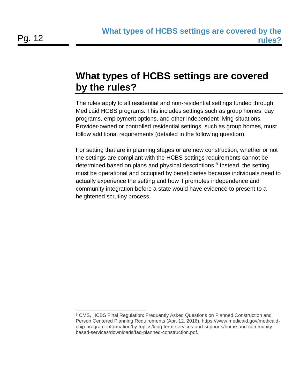#### <span id="page-11-0"></span>**What types of HCBS settings are covered by the rules?**

The rules apply to all residential and non-residential settings funded through Medicaid HCBS programs. This includes settings such as group homes, day programs, employment options, and other independent living situations. Provider-owned or controlled residential settings, such as group homes, must follow additional requirements (detailed in the following question).

For setting that are in planning stages or are new construction, whether or not the settings are compliant with the HCBS settings requirements cannot be determined based on plans and physical descriptions.<sup>[9](#page-11-1)</sup> Instead, the setting must be operational and occupied by beneficiaries because individuals need to actually experience the setting and how it promotes independence and community integration before a state would have evidence to present to a heightened scrutiny process.

<span id="page-11-1"></span><sup>9</sup> CMS, HCBS Final Regulation: Frequently Asked Questions on Planned Construction and Person Centered Planning Requirements (Apr. 12. 2016), https://www.medicaid.gov/medicaidchip-program-information/by-topics/long-term-services-and-supports/home-and-communitybased-services/downloads/faq-planned-construction.pdf. -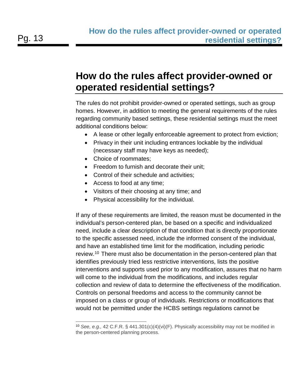## <span id="page-12-0"></span>**How do the rules affect provider-owned or operated residential settings?**

The rules do not prohibit provider-owned or operated settings, such as group homes. However, in addition to meeting the general requirements of the rules regarding community based settings, these residential settings must the meet additional conditions below:

- A lease or other legally enforceable agreement to protect from eviction;
- Privacy in their unit including entrances lockable by the individual (necessary staff may have keys as needed);
- Choice of roommates;
- Freedom to furnish and decorate their unit;
- Control of their schedule and activities;
- Access to food at any time;
- Visitors of their choosing at any time; and
- Physical accessibility for the individual.

If any of these requirements are limited, the reason must be documented in the individual's person-centered plan, be based on a specific and individualized need, include a clear description of that condition that is directly proportionate to the specific assessed need, include the informed consent of the individual, and have an established time limit for the modification, including periodic review.<sup>[10](#page-12-1)</sup> There must also be documentation in the person-centered plan that identifies previously tried less restrictive interventions, lists the positive interventions and supports used prior to any modification, assures that no harm will come to the individual from the modifications, and includes regular collection and review of data to determine the effectiveness of the modification. Controls on personal freedoms and access to the community cannot be imposed on a class or group of individuals. Restrictions or modifications that would not be permitted under the HCBS settings regulations cannot be

<span id="page-12-1"></span><sup>10</sup> *See, e.g.,* 42 C.F.R. § 441.301(c)(4)(vi)(F). Physically accessibility may not be modified in the person-centered planning process. -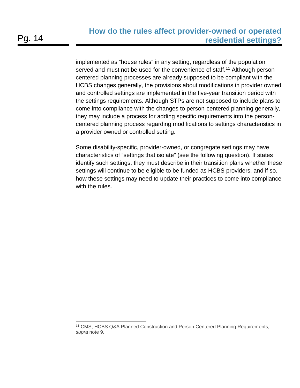implemented as "house rules" in any setting, regardless of the population served and must not be used for the convenience of staff.<sup>[11](#page-13-0)</sup> Although personcentered planning processes are already supposed to be compliant with the HCBS changes generally, the provisions about modifications in provider owned and controlled settings are implemented in the five-year transition period with the settings requirements. Although STPs are not supposed to include plans to come into compliance with the changes to person-centered planning generally, they may include a process for adding specific requirements into the personcentered planning process regarding modifications to settings characteristics in a provider owned or controlled setting.

Some disability-specific, provider-owned, or congregate settings may have characteristics of "settings that isolate" (see the following question). If states identify such settings, they must describe in their transition plans whether these settings will continue to be eligible to be funded as HCBS providers, and if so, how these settings may need to update their practices to come into compliance with the rules.

<span id="page-13-0"></span><sup>11</sup> CMS, HCBS Q&A Planned Construction and Person Centered Planning Requirements, *supra* note 9. -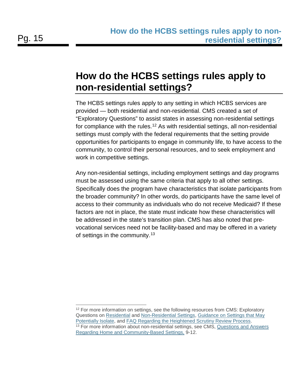## <span id="page-14-0"></span>**How do the HCBS settings rules apply to non-residential settings?**

The HCBS settings rules apply to any setting in which HCBS services are provided — both residential and non-residential. CMS created a set of "Exploratory Questions" to assist states in assessing non-residential settings for compliance with the rules.<sup>[12](#page-14-1)</sup> As with residential settings, all non-residential settings must comply with the federal requirements that the setting provide opportunities for participants to engage in community life, to have access to the community, to control their personal resources, and to seek employment and work in competitive settings.

Any non-residential settings, including employment settings and day programs must be assessed using the same criteria that apply to all other settings. Specifically does the program have characteristics that isolate participants from the broader community? In other words, do participants have the same level of access to their community as individuals who do not receive Medicaid? If these factors are not in place, the state must indicate how these characteristics will be addressed in the state's transition plan. CMS has also noted that prevocational services need not be facility-based and may be offered in a variety of settings in the community.<sup>[13](#page-14-2)</sup>

-

<span id="page-14-1"></span><sup>&</sup>lt;sup>12</sup> For more information on settings, see the following resources from CMS: Exploratory Questions on [Residential](http://www.medicaid.gov/medicaid-chip-program-information/by-topics/long-term-services-and-supports/home-and-community-based-services/downloads/exploratory-questions-re-settings-characteristics.pdf) and [Non-Residential Settings,](http://www.medicaid.gov/medicaid-chip-program-information/by-topics/long-term-services-and-supports/home-and-community-based-services/downloads/exploratory-questions-non-residential.pdf) [Guidance on Settings that May](http://www.medicaid.gov/medicaid-chip-program-information/by-topics/long-term-services-and-supports/home-and-community-based-services/downloads/settings-that-isolate.pdf)  [Potentially Isolate,](http://www.medicaid.gov/medicaid-chip-program-information/by-topics/long-term-services-and-supports/home-and-community-based-services/downloads/settings-that-isolate.pdf) and [FAQ Regarding the Heightened Scrutiny Review Process.](http://www.medicaid.gov/medicaid-chip-program-information/by-topics/long-term-services-and-supports/home-and-community-based-services/downloads/home-and-community-based-setting-requirements.pdf) <sup>13</sup> For more information about non-residential settings, see CMS, Questions and Answers

<span id="page-14-2"></span>[Regarding Home and Community-Based Settings,](http://www.medicaid.gov/medicaid-chip-program-information/by-topics/long-term-services-and-supports/home-and-community-based-services/downloads/q-and-a-hcb-settings.pdf) 9-12.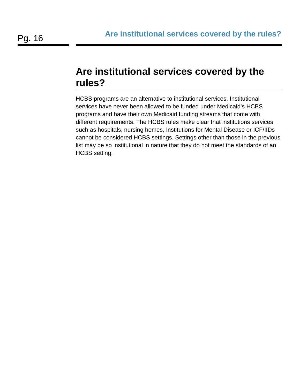#### <span id="page-15-0"></span>**Are institutional services covered by the rules?**

HCBS programs are an alternative to institutional services. Institutional services have never been allowed to be funded under Medicaid's HCBS programs and have their own Medicaid funding streams that come with different requirements. The HCBS rules make clear that institutions services such as hospitals, nursing homes, Institutions for Mental Disease or ICF/IIDs cannot be considered HCBS settings. Settings other than those in the previous list may be so institutional in nature that they do not meet the standards of an HCBS setting.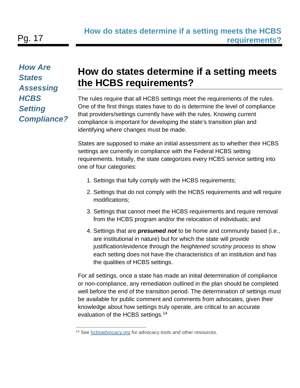*How Are States Assessing HCBS Setting Compliance?*

### <span id="page-16-0"></span>**How do states determine if a setting meets the HCBS requirements?**

The rules require that all HCBS settings meet the requirements of the rules. One of the first things states have to do is determine the level of compliance that providers/settings currently have with the rules. Knowing current compliance is important for developing the state's transition plan and identifying where changes must be made.

States are supposed to make an initial assessment as to whether their HCBS settings are currently in compliance with the Federal HCBS setting requirements. Initially, the state categorizes every HCBS service setting into one of four categories:

- 1. Settings that fully comply with the HCBS requirements;
- 2. Settings that do not comply with the HCBS requirements and will require modifications;
- 3. Settings that cannot meet the HCBS requirements and require removal from the HCBS program and/or the relocation of individuals; and
- 4. Settings that are *presumed not* to be home and community based (i.e., are institutional in nature) but for which the state will provide justification/evidence through the *heightened scrutiny process* to show each setting does not have the characteristics of an institution and has the qualities of HCBS settings.

For all settings, once a state has made an initial determination of compliance or non-compliance, any remediation outlined in the plan should be completed well before the end of the transition period. The determination of settings must be available for public comment and comments from advocates, given their knowledge about how settings truly operate, are critical to an accurate evaluation of the HCBS settings.<sup>[14](#page-16-1)</sup>

<span id="page-16-1"></span><sup>&</sup>lt;sup>14</sup> See [hcbsadvocacy.org](http://hcbsadvocacy.org/) for advocacy tools and other resources. -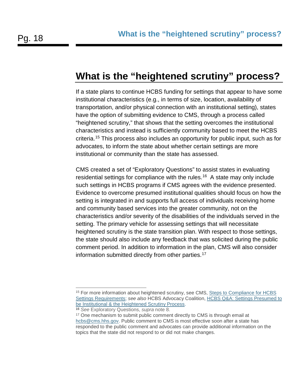#### <span id="page-17-0"></span>**What is the "heightened scrutiny" process?**

If a state plans to continue HCBS funding for settings that appear to have some institutional characteristics (e.g., in terms of size, location, availability of transportation, and/or physical connection with an institutional setting), states have the option of submitting evidence to CMS, through a process called "heightened scrutiny," that shows that the setting overcomes the institutional characteristics and instead is sufficiently community based to meet the HCBS criteria.[15](#page-17-1) This process also includes an opportunity for public input, such as for advocates, to inform the state about whether certain settings are more institutional or community than the state has assessed.

CMS created a set of "Exploratory Questions" to assist states in evaluating residential settings for compliance with the rules.<sup>[16](#page-17-2)</sup> A state may only include such settings in HCBS programs if CMS agrees with the evidence presented. Evidence to overcome presumed institutional qualities should focus on how the setting is integrated in and supports full access of individuals receiving home and community based services into the greater community, not on the characteristics and/or severity of the disabilities of the individuals served in the setting. The primary vehicle for assessing settings that will necessitate heightened scrutiny is the state transition plan. With respect to those settings, the state should also include any feedback that was solicited during the public comment period. In addition to information in the plan, CMS will also consider information submitted directly from other parties.<sup>[17](#page-17-3)</sup>

-

<span id="page-17-1"></span><sup>&</sup>lt;sup>15</sup> For more information about heightened scrutiny, see CMS, Steps to Compliance for HCBS [Settings Requirements;](http://www.medicaid.gov/Medicaid-CHIP-Program-Information/By-Topics/Long-Term-Services-and-Supports/Home-and-Community-Based-Services/Downloads/HCBS-1915c-waiver-compliance-flowchart.pdf) *see also* HCBS Advocacy Coalition, [HCBS Q&A: Settings Presumed to](http://www.aucd.org/docs/policy/HCBS/HCBS%20Regulations%20Q&A%20Heightened%20Scrutiny%20Final%201%2022%202016.pdf)  [be Institutional & the Heightened Scrutiny Process.](http://www.aucd.org/docs/policy/HCBS/HCBS%20Regulations%20Q&A%20Heightened%20Scrutiny%20Final%201%2022%202016.pdf)

<span id="page-17-2"></span><sup>16</sup> *See* Exploratory Questions, *supra* note 8.

<span id="page-17-3"></span><sup>&</sup>lt;sup>17</sup> One mechanism to submit public comment directly to CMS is through email at [hcbs@cms.hhs.gov.](mailto:hcbs@cms.hhs.gov) Public comment to CMS is most effective soon after a state has responded to the public comment and advocates can provide additional information on the topics that the state did not respond to or did not make changes.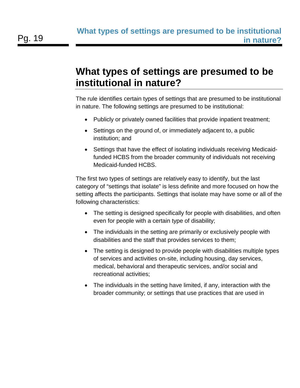#### <span id="page-18-0"></span>**What types of settings are presumed to be institutional in nature?**

The rule identifies certain types of settings that are presumed to be institutional in nature. The following settings are presumed to be institutional:

- Publicly or privately owned facilities that provide inpatient treatment;
- Settings on the ground of, or immediately adjacent to, a public institution; and
- Settings that have the effect of isolating individuals receiving Medicaidfunded HCBS from the broader community of individuals not receiving Medicaid-funded HCBS.

The first two types of settings are relatively easy to identify, but the last category of "settings that isolate" is less definite and more focused on how the setting affects the participants. Settings that isolate may have some or all of the following characteristics:

- The setting is designed specifically for people with disabilities, and often even for people with a certain type of disability;
- The individuals in the setting are primarily or exclusively people with disabilities and the staff that provides services to them;
- The setting is designed to provide people with disabilities multiple types of services and activities on-site, including housing, day services, medical, behavioral and therapeutic services, and/or social and recreational activities;
- The individuals in the setting have limited, if any, interaction with the broader community; or settings that use practices that are used in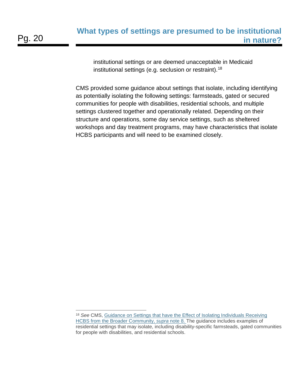institutional settings or are deemed unacceptable in Medicaid institutional settings (e.g. seclusion or restraint).[18](#page-19-0)

CMS provided some guidance about settings that isolate, including identifying as potentially isolating the following settings: farmsteads, gated or secured communities for people with disabilities, residential schools, and multiple settings clustered together and operationally related. Depending on their structure and operations, some day service settings, such as sheltered workshops and day treatment programs, may have characteristics that isolate HCBS participants and will need to be examined closely.

<span id="page-19-0"></span><sup>18</sup> *See* CMS, [Guidance on Settings that have the Effect of Isolating Individuals Receiving](http://www.medicaid.gov/medicaid-chip-program-information/by-topics/long-term-services-and-supports/home-and-community-based-services/downloads/settings-that-isolate.pdf)  [HCBS from the Broader Community,](http://www.medicaid.gov/medicaid-chip-program-information/by-topics/long-term-services-and-supports/home-and-community-based-services/downloads/settings-that-isolate.pdf) *supra* note 8. The guidance includes examples of residential settings that may isolate, including disability-specific farmsteads, gated communities for people with disabilities, and residential schools. -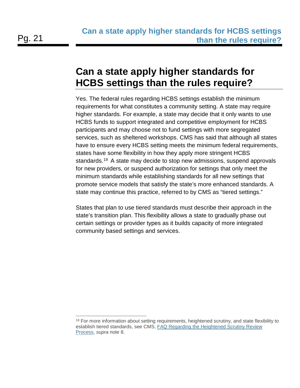# <span id="page-20-0"></span>**Can a state apply higher standards for HCBS settings than the rules require?**

Yes. The federal rules regarding HCBS settings establish the minimum requirements for what constitutes a community setting. A state may require higher standards. For example, a state may decide that it only wants to use HCBS funds to support integrated and competitive employment for HCBS participants and may choose not to fund settings with more segregated services, such as sheltered workshops. CMS has said that although all states have to ensure every HCBS setting meets the minimum federal requirements, states have some flexibility in how they apply more stringent HCBS standards.<sup>[19](#page-20-1)</sup> A state may decide to stop new admissions, suspend approvals for new providers, or suspend authorization for settings that only meet the minimum standards while establishing standards for all new settings that promote service models that satisfy the state's more enhanced standards. A state may continue this practice, referred to by CMS as "tiered settings."

States that plan to use tiered standards must describe their approach in the state's transition plan. This flexibility allows a state to gradually phase out certain settings or provider types as it builds capacity of more integrated community based settings and services.

<span id="page-20-1"></span> $19$  For more information about setting requirements, heightened scrutiny, and state flexibility to establish tiered standards, see CMS, [FAQ Regarding the Heightened Scrutiny Review](http://www.medicaid.gov/medicaid-chip-program-information/by-topics/long-term-services-and-supports/home-and-community-based-services/downloads/home-and-community-based-setting-requirements.pdf)  [Process,](http://www.medicaid.gov/medicaid-chip-program-information/by-topics/long-term-services-and-supports/home-and-community-based-services/downloads/home-and-community-based-setting-requirements.pdf) *supra* note 8. -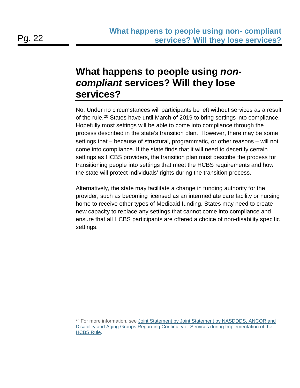#### <span id="page-21-0"></span>**What happens to people using** *noncompliant* **services? Will they lose services?**

No. Under no circumstances will participants be left without services as a result of the rule.<sup>[20](#page-21-1)</sup> States have until March of 2019 to bring settings into compliance. Hopefully most settings will be able to come into compliance through the process described in the state's transition plan. However, there may be some settings that − because of structural, programmatic, or other reasons – will not come into compliance. If the state finds that it will need to decertify certain settings as HCBS providers, the transition plan must describe the process for transitioning people into settings that meet the HCBS requirements and how the state will protect individuals' rights during the transition process.

Alternatively, the state may facilitate a change in funding authority for the provider, such as becoming licensed as an intermediate care facility or nursing home to receive other types of Medicaid funding. States may need to create new capacity to replace any settings that cannot come into compliance and ensure that all HCBS participants are offered a choice of non-disability specific settings.

<span id="page-21-1"></span><sup>&</sup>lt;sup>20</sup> For more information, see Joint Statement by Joint Statement by NASDDDS, ANCOR and [Disability and Aging Groups Regarding Continuity of Services during Implementation of the](http://www.bazelon.org/LinkClick.aspx?fileticket=em42S5P9d7I%3d&tabid=58)  [HCBS Rule.](http://www.bazelon.org/LinkClick.aspx?fileticket=em42S5P9d7I%3d&tabid=58) -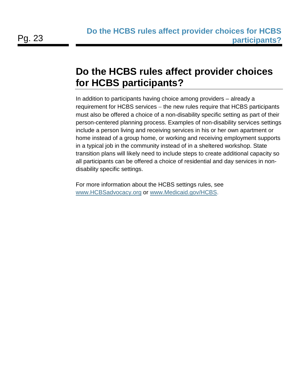### <span id="page-22-0"></span>**Do the HCBS rules affect provider choices for HCBS participants?**

In addition to participants having choice among providers – already a requirement for HCBS services – the new rules require that HCBS participants must also be offered a choice of a non-disability specific setting as part of their person-centered planning process. Examples of non-disability services settings include a person living and receiving services in his or her own apartment or home instead of a group home, or working and receiving employment supports in a typical job in the community instead of in a sheltered workshop. State transition plans will likely need to include steps to create additional capacity so all participants can be offered a choice of residential and day services in nondisability specific settings.

For more information about the HCBS settings rules, see [www.HCBSadvocacy.org](http://www.hcbsadvocacy.org/) or [www.Medicaid.gov/](http://www.medicaid.gov/)HCBS.